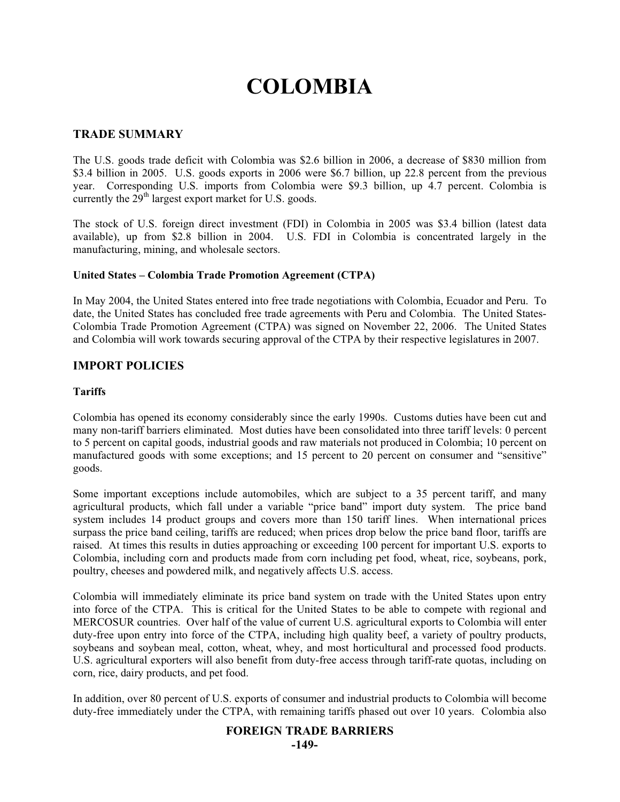# **COLOMBIA**

#### **TRADE SUMMARY**

The U.S. goods trade deficit with Colombia was \$2.6 billion in 2006, a decrease of \$830 million from \$3.4 billion in 2005. U.S. goods exports in 2006 were \$6.7 billion, up 22.8 percent from the previous year. Corresponding U.S. imports from Colombia were \$9.3 billion, up 4.7 percent. Colombia is currently the  $29<sup>th</sup>$  largest export market for U.S. goods.

The stock of U.S. foreign direct investment (FDI) in Colombia in 2005 was \$3.4 billion (latest data available), up from \$2.8 billion in 2004. U.S. FDI in Colombia is concentrated largely in the manufacturing, mining, and wholesale sectors.

#### **United States – Colombia Trade Promotion Agreement (CTPA)**

In May 2004, the United States entered into free trade negotiations with Colombia, Ecuador and Peru. To date, the United States has concluded free trade agreements with Peru and Colombia. The United States-Colombia Trade Promotion Agreement (CTPA) was signed on November 22, 2006. The United States and Colombia will work towards securing approval of the CTPA by their respective legislatures in 2007.

## **IMPORT POLICIES**

#### **Tariffs**

Colombia has opened its economy considerably since the early 1990s. Customs duties have been cut and many non-tariff barriers eliminated. Most duties have been consolidated into three tariff levels: 0 percent to 5 percent on capital goods, industrial goods and raw materials not produced in Colombia; 10 percent on manufactured goods with some exceptions; and 15 percent to 20 percent on consumer and "sensitive" goods.

Some important exceptions include automobiles, which are subject to a 35 percent tariff, and many agricultural products, which fall under a variable "price band" import duty system. The price band system includes 14 product groups and covers more than 150 tariff lines. When international prices surpass the price band ceiling, tariffs are reduced; when prices drop below the price band floor, tariffs are raised. At times this results in duties approaching or exceeding 100 percent for important U.S. exports to Colombia, including corn and products made from corn including pet food, wheat, rice, soybeans, pork, poultry, cheeses and powdered milk, and negatively affects U.S. access.

Colombia will immediately eliminate its price band system on trade with the United States upon entry into force of the CTPA. This is critical for the United States to be able to compete with regional and MERCOSUR countries. Over half of the value of current U.S. agricultural exports to Colombia will enter duty-free upon entry into force of the CTPA, including high quality beef, a variety of poultry products, soybeans and soybean meal, cotton, wheat, whey, and most horticultural and processed food products. U.S. agricultural exporters will also benefit from duty-free access through tariff-rate quotas, including on corn, rice, dairy products, and pet food.

In addition, over 80 percent of U.S. exports of consumer and industrial products to Colombia will become duty-free immediately under the CTPA, with remaining tariffs phased out over 10 years. Colombia also

#### **FOREIGN TRADE BARRIERS**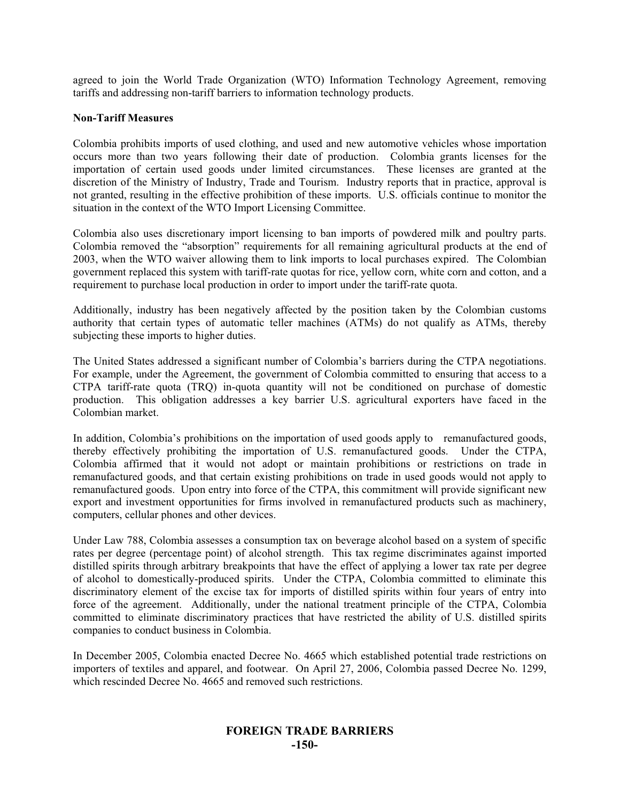agreed to join the World Trade Organization (WTO) Information Technology Agreement, removing tariffs and addressing non-tariff barriers to information technology products.

#### **Non-Tariff Measures**

Colombia prohibits imports of used clothing, and used and new automotive vehicles whose importation occurs more than two years following their date of production. Colombia grants licenses for the importation of certain used goods under limited circumstances. These licenses are granted at the discretion of the Ministry of Industry, Trade and Tourism. Industry reports that in practice, approval is not granted, resulting in the effective prohibition of these imports. U.S. officials continue to monitor the situation in the context of the WTO Import Licensing Committee.

Colombia also uses discretionary import licensing to ban imports of powdered milk and poultry parts. Colombia removed the "absorption" requirements for all remaining agricultural products at the end of 2003, when the WTO waiver allowing them to link imports to local purchases expired. The Colombian government replaced this system with tariff-rate quotas for rice, yellow corn, white corn and cotton, and a requirement to purchase local production in order to import under the tariff-rate quota.

Additionally, industry has been negatively affected by the position taken by the Colombian customs authority that certain types of automatic teller machines (ATMs) do not qualify as ATMs, thereby subjecting these imports to higher duties.

The United States addressed a significant number of Colombia's barriers during the CTPA negotiations. For example, under the Agreement, the government of Colombia committed to ensuring that access to a CTPA tariff-rate quota (TRQ) in-quota quantity will not be conditioned on purchase of domestic production. This obligation addresses a key barrier U.S. agricultural exporters have faced in the Colombian market.

In addition, Colombia's prohibitions on the importation of used goods apply to remanufactured goods, thereby effectively prohibiting the importation of U.S. remanufactured goods. Under the CTPA, Colombia affirmed that it would not adopt or maintain prohibitions or restrictions on trade in remanufactured goods, and that certain existing prohibitions on trade in used goods would not apply to remanufactured goods. Upon entry into force of the CTPA, this commitment will provide significant new export and investment opportunities for firms involved in remanufactured products such as machinery, computers, cellular phones and other devices.

Under Law 788, Colombia assesses a consumption tax on beverage alcohol based on a system of specific rates per degree (percentage point) of alcohol strength. This tax regime discriminates against imported distilled spirits through arbitrary breakpoints that have the effect of applying a lower tax rate per degree of alcohol to domestically-produced spirits. Under the CTPA, Colombia committed to eliminate this discriminatory element of the excise tax for imports of distilled spirits within four years of entry into force of the agreement. Additionally, under the national treatment principle of the CTPA, Colombia committed to eliminate discriminatory practices that have restricted the ability of U.S. distilled spirits companies to conduct business in Colombia.

In December 2005, Colombia enacted Decree No. 4665 which established potential trade restrictions on importers of textiles and apparel, and footwear. On April 27, 2006, Colombia passed Decree No. 1299, which rescinded Decree No. 4665 and removed such restrictions.

## **FOREIGN TRADE BARRIERS -150-**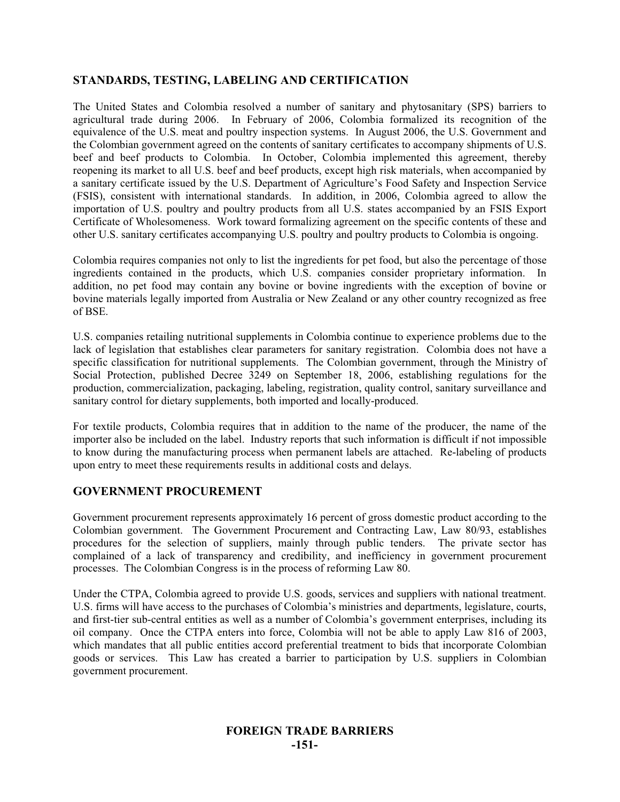# **STANDARDS, TESTING, LABELING AND CERTIFICATION**

The United States and Colombia resolved a number of sanitary and phytosanitary (SPS) barriers to agricultural trade during 2006. In February of 2006, Colombia formalized its recognition of the equivalence of the U.S. meat and poultry inspection systems. In August 2006, the U.S. Government and the Colombian government agreed on the contents of sanitary certificates to accompany shipments of U.S. beef and beef products to Colombia. In October, Colombia implemented this agreement, thereby reopening its market to all U.S. beef and beef products, except high risk materials, when accompanied by a sanitary certificate issued by the U.S. Department of Agriculture's Food Safety and Inspection Service (FSIS), consistent with international standards. In addition, in 2006, Colombia agreed to allow the importation of U.S. poultry and poultry products from all U.S. states accompanied by an FSIS Export Certificate of Wholesomeness. Work toward formalizing agreement on the specific contents of these and other U.S. sanitary certificates accompanying U.S. poultry and poultry products to Colombia is ongoing.

Colombia requires companies not only to list the ingredients for pet food, but also the percentage of those ingredients contained in the products, which U.S. companies consider proprietary information. In addition, no pet food may contain any bovine or bovine ingredients with the exception of bovine or bovine materials legally imported from Australia or New Zealand or any other country recognized as free of BSE.

U.S. companies retailing nutritional supplements in Colombia continue to experience problems due to the lack of legislation that establishes clear parameters for sanitary registration. Colombia does not have a specific classification for nutritional supplements. The Colombian government, through the Ministry of Social Protection, published Decree 3249 on September 18, 2006, establishing regulations for the production, commercialization, packaging, labeling, registration, quality control, sanitary surveillance and sanitary control for dietary supplements, both imported and locally-produced.

For textile products, Colombia requires that in addition to the name of the producer, the name of the importer also be included on the label. Industry reports that such information is difficult if not impossible to know during the manufacturing process when permanent labels are attached. Re-labeling of products upon entry to meet these requirements results in additional costs and delays.

## **GOVERNMENT PROCUREMENT**

Government procurement represents approximately 16 percent of gross domestic product according to the Colombian government. The Government Procurement and Contracting Law, Law 80/93, establishes procedures for the selection of suppliers, mainly through public tenders. The private sector has complained of a lack of transparency and credibility, and inefficiency in government procurement processes. The Colombian Congress is in the process of reforming Law 80.

Under the CTPA, Colombia agreed to provide U.S. goods, services and suppliers with national treatment. U.S. firms will have access to the purchases of Colombia's ministries and departments, legislature, courts, and first-tier sub-central entities as well as a number of Colombia's government enterprises, including its oil company. Once the CTPA enters into force, Colombia will not be able to apply Law 816 of 2003, which mandates that all public entities accord preferential treatment to bids that incorporate Colombian goods or services. This Law has created a barrier to participation by U.S. suppliers in Colombian government procurement.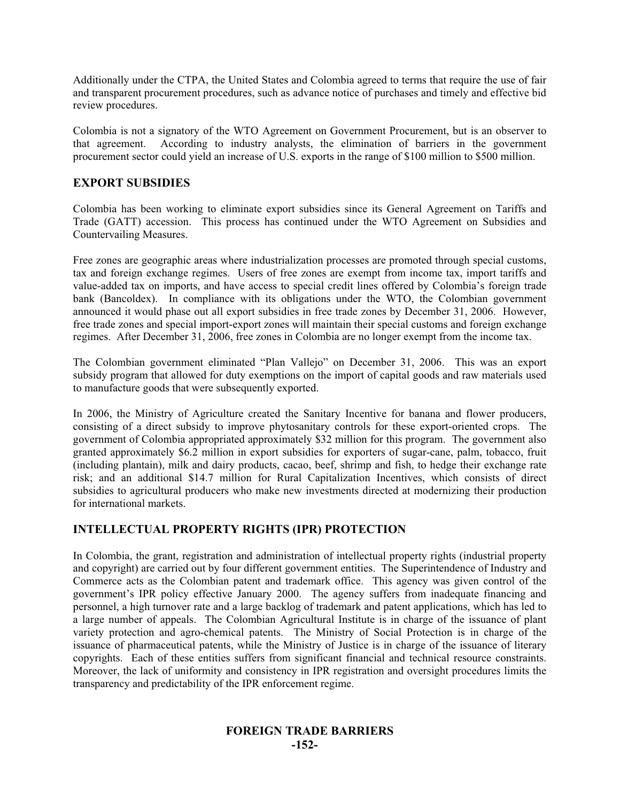Additionally under the CTPA, the United States and Colombia agreed to terms that require the use of fair and transparent procurement procedures, such as advance notice of purchases and timely and effective bid review procedures.

Colombia is not a signatory of the WTO Agreement on Government Procurement, but is an observer to that agreement. According to industry analysts, the elimination of barriers in the government procurement sector could yield an increase of U.S. exports in the range of \$100 million to \$500 million.

## **EXPORT SUBSIDIES**

Colombia has been working to eliminate export subsidies since its General Agreement on Tariffs and Trade (GATT) accession. This process has continued under the WTO Agreement on Subsidies and Countervailing Measures.

Free zones are geographic areas where industrialization processes are promoted through special customs, tax and foreign exchange regimes. Users of free zones are exempt from income tax, import tariffs and value-added tax on imports, and have access to special credit lines offered by Colombia's foreign trade bank (Bancoldex). In compliance with its obligations under the WTO, the Colombian government announced it would phase out all export subsidies in free trade zones by December 31, 2006. However, free trade zones and special import-export zones will maintain their special customs and foreign exchange regimes. After December 31, 2006, free zones in Colombia are no longer exempt from the income tax.

The Colombian government eliminated "Plan Vallejo" on December 31, 2006. This was an export subsidy program that allowed for duty exemptions on the import of capital goods and raw materials used to manufacture goods that were subsequently exported.

In 2006, the Ministry of Agriculture created the Sanitary Incentive for banana and flower producers, consisting of a direct subsidy to improve phytosanitary controls for these export-oriented crops. The government of Colombia appropriated approximately \$32 million for this program. The government also granted approximately \$6.2 million in export subsidies for exporters of sugar-cane, palm, tobacco, fruit (including plantain), milk and dairy products, cacao, beef, shrimp and fish, to hedge their exchange rate risk; and an additional \$14.7 million for Rural Capitalization Incentives, which consists of direct subsidies to agricultural producers who make new investments directed at modernizing their production for international markets.

## **INTELLECTUAL PROPERTY RIGHTS (IPR) PROTECTION**

In Colombia, the grant, registration and administration of intellectual property rights (industrial property and copyright) are carried out by four different government entities. The Superintendence of Industry and Commerce acts as the Colombian patent and trademark office. This agency was given control of the government's IPR policy effective January 2000. The agency suffers from inadequate financing and personnel, a high turnover rate and a large backlog of trademark and patent applications, which has led to a large number of appeals. The Colombian Agricultural Institute is in charge of the issuance of plant variety protection and agro-chemical patents. The Ministry of Social Protection is in charge of the issuance of pharmaceutical patents, while the Ministry of Justice is in charge of the issuance of literary copyrights. Each of these entities suffers from significant financial and technical resource constraints. Moreover, the lack of uniformity and consistency in IPR registration and oversight procedures limits the transparency and predictability of the IPR enforcement regime.

#### **FOREIGN TRADE BARRIERS -152-**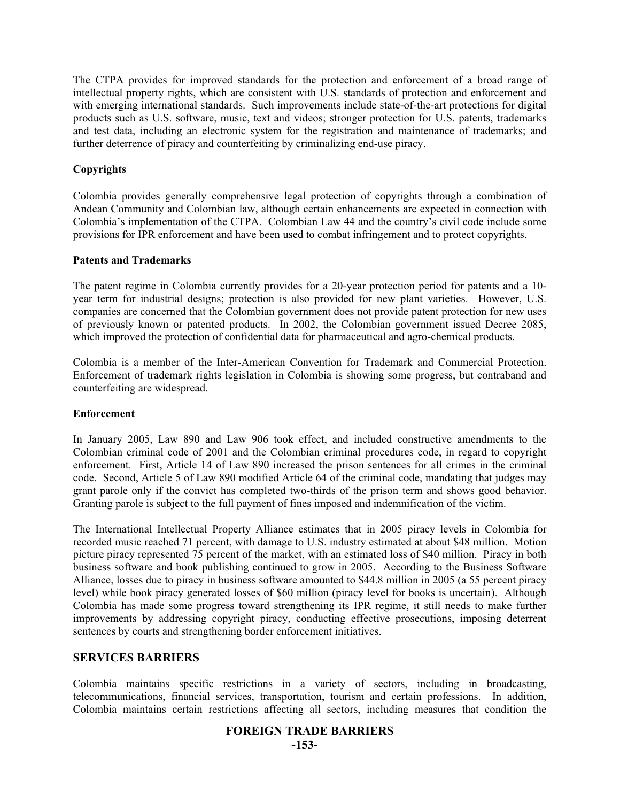The CTPA provides for improved standards for the protection and enforcement of a broad range of intellectual property rights, which are consistent with U.S. standards of protection and enforcement and with emerging international standards. Such improvements include state-of-the-art protections for digital products such as U.S. software, music, text and videos; stronger protection for U.S. patents, trademarks and test data, including an electronic system for the registration and maintenance of trademarks; and further deterrence of piracy and counterfeiting by criminalizing end-use piracy.

#### **Copyrights**

Colombia provides generally comprehensive legal protection of copyrights through a combination of Andean Community and Colombian law, although certain enhancements are expected in connection with Colombia's implementation of the CTPA. Colombian Law 44 and the country's civil code include some provisions for IPR enforcement and have been used to combat infringement and to protect copyrights.

#### **Patents and Trademarks**

The patent regime in Colombia currently provides for a 20-year protection period for patents and a 10 year term for industrial designs; protection is also provided for new plant varieties. However, U.S. companies are concerned that the Colombian government does not provide patent protection for new uses of previously known or patented products. In 2002, the Colombian government issued Decree 2085, which improved the protection of confidential data for pharmaceutical and agro-chemical products.

Colombia is a member of the Inter-American Convention for Trademark and Commercial Protection. Enforcement of trademark rights legislation in Colombia is showing some progress, but contraband and counterfeiting are widespread.

#### **Enforcement**

In January 2005, Law 890 and Law 906 took effect, and included constructive amendments to the Colombian criminal code of 2001 and the Colombian criminal procedures code, in regard to copyright enforcement. First, Article 14 of Law 890 increased the prison sentences for all crimes in the criminal code. Second, Article 5 of Law 890 modified Article 64 of the criminal code, mandating that judges may grant parole only if the convict has completed two-thirds of the prison term and shows good behavior. Granting parole is subject to the full payment of fines imposed and indemnification of the victim.

The International Intellectual Property Alliance estimates that in 2005 piracy levels in Colombia for recorded music reached 71 percent, with damage to U.S. industry estimated at about \$48 million. Motion picture piracy represented 75 percent of the market, with an estimated loss of \$40 million. Piracy in both business software and book publishing continued to grow in 2005. According to the Business Software Alliance, losses due to piracy in business software amounted to \$44.8 million in 2005 (a 55 percent piracy level) while book piracy generated losses of \$60 million (piracy level for books is uncertain). Although Colombia has made some progress toward strengthening its IPR regime, it still needs to make further improvements by addressing copyright piracy, conducting effective prosecutions, imposing deterrent sentences by courts and strengthening border enforcement initiatives.

#### **SERVICES BARRIERS**

Colombia maintains specific restrictions in a variety of sectors, including in broadcasting, telecommunications, financial services, transportation, tourism and certain professions. In addition, Colombia maintains certain restrictions affecting all sectors, including measures that condition the

#### **FOREIGN TRADE BARRIERS**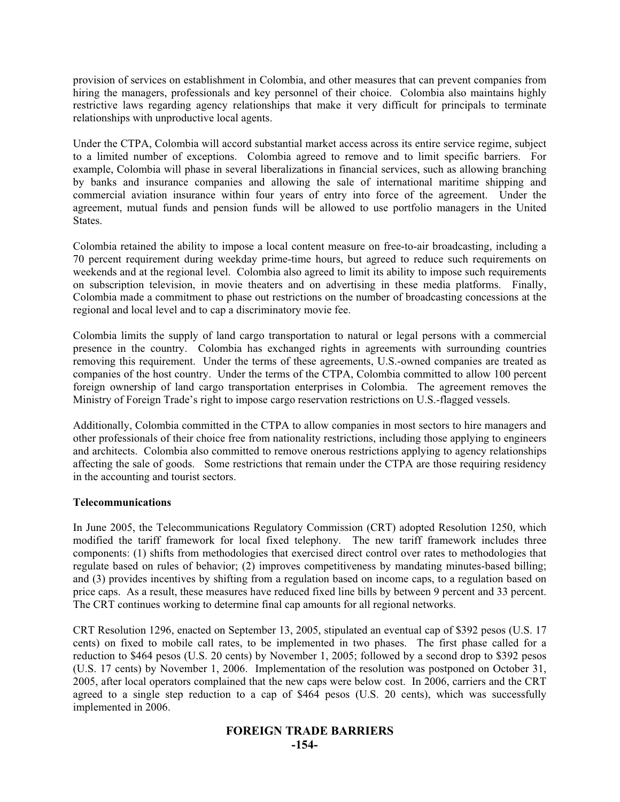provision of services on establishment in Colombia, and other measures that can prevent companies from hiring the managers, professionals and key personnel of their choice. Colombia also maintains highly restrictive laws regarding agency relationships that make it very difficult for principals to terminate relationships with unproductive local agents.

Under the CTPA, Colombia will accord substantial market access across its entire service regime, subject to a limited number of exceptions. Colombia agreed to remove and to limit specific barriers. For example, Colombia will phase in several liberalizations in financial services, such as allowing branching by banks and insurance companies and allowing the sale of international maritime shipping and commercial aviation insurance within four years of entry into force of the agreement. Under the agreement, mutual funds and pension funds will be allowed to use portfolio managers in the United States.

Colombia retained the ability to impose a local content measure on free-to-air broadcasting, including a 70 percent requirement during weekday prime-time hours, but agreed to reduce such requirements on weekends and at the regional level. Colombia also agreed to limit its ability to impose such requirements on subscription television, in movie theaters and on advertising in these media platforms. Finally, Colombia made a commitment to phase out restrictions on the number of broadcasting concessions at the regional and local level and to cap a discriminatory movie fee.

Colombia limits the supply of land cargo transportation to natural or legal persons with a commercial presence in the country. Colombia has exchanged rights in agreements with surrounding countries removing this requirement. Under the terms of these agreements, U.S.-owned companies are treated as companies of the host country. Under the terms of the CTPA, Colombia committed to allow 100 percent foreign ownership of land cargo transportation enterprises in Colombia. The agreement removes the Ministry of Foreign Trade's right to impose cargo reservation restrictions on U.S.-flagged vessels.

Additionally, Colombia committed in the CTPA to allow companies in most sectors to hire managers and other professionals of their choice free from nationality restrictions, including those applying to engineers and architects. Colombia also committed to remove onerous restrictions applying to agency relationships affecting the sale of goods. Some restrictions that remain under the CTPA are those requiring residency in the accounting and tourist sectors.

#### **Telecommunications**

In June 2005, the Telecommunications Regulatory Commission (CRT) adopted Resolution 1250, which modified the tariff framework for local fixed telephony. The new tariff framework includes three components: (1) shifts from methodologies that exercised direct control over rates to methodologies that regulate based on rules of behavior; (2) improves competitiveness by mandating minutes-based billing; and (3) provides incentives by shifting from a regulation based on income caps, to a regulation based on price caps. As a result, these measures have reduced fixed line bills by between 9 percent and 33 percent. The CRT continues working to determine final cap amounts for all regional networks.

CRT Resolution 1296, enacted on September 13, 2005, stipulated an eventual cap of \$392 pesos (U.S. 17 cents) on fixed to mobile call rates, to be implemented in two phases. The first phase called for a reduction to \$464 pesos (U.S. 20 cents) by November 1, 2005; followed by a second drop to \$392 pesos (U.S. 17 cents) by November 1, 2006. Implementation of the resolution was postponed on October 31, 2005, after local operators complained that the new caps were below cost. In 2006, carriers and the CRT agreed to a single step reduction to a cap of \$464 pesos (U.S. 20 cents), which was successfully implemented in 2006.

#### **FOREIGN TRADE BARRIERS -154-**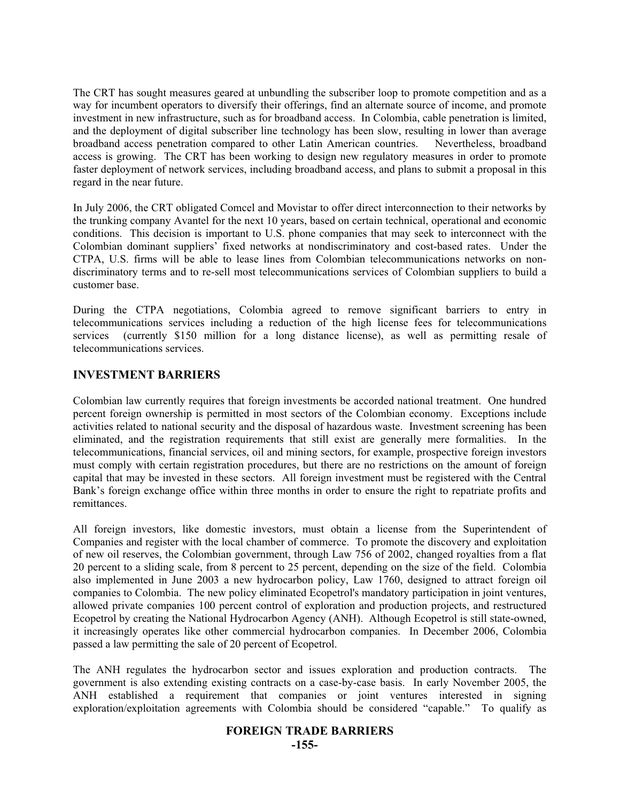The CRT has sought measures geared at unbundling the subscriber loop to promote competition and as a way for incumbent operators to diversify their offerings, find an alternate source of income, and promote investment in new infrastructure, such as for broadband access. In Colombia, cable penetration is limited, and the deployment of digital subscriber line technology has been slow, resulting in lower than average broadband access penetration compared to other Latin American countries. Nevertheless, broadband access is growing. The CRT has been working to design new regulatory measures in order to promote faster deployment of network services, including broadband access, and plans to submit a proposal in this regard in the near future.

In July 2006, the CRT obligated Comcel and Movistar to offer direct interconnection to their networks by the trunking company Avantel for the next 10 years, based on certain technical, operational and economic conditions. This decision is important to U.S. phone companies that may seek to interconnect with the Colombian dominant suppliers' fixed networks at nondiscriminatory and cost-based rates. Under the CTPA, U.S. firms will be able to lease lines from Colombian telecommunications networks on nondiscriminatory terms and to re-sell most telecommunications services of Colombian suppliers to build a customer base.

During the CTPA negotiations, Colombia agreed to remove significant barriers to entry in telecommunications services including a reduction of the high license fees for telecommunications services (currently \$150 million for a long distance license), as well as permitting resale of telecommunications services.

## **INVESTMENT BARRIERS**

Colombian law currently requires that foreign investments be accorded national treatment. One hundred percent foreign ownership is permitted in most sectors of the Colombian economy. Exceptions include activities related to national security and the disposal of hazardous waste. Investment screening has been eliminated, and the registration requirements that still exist are generally mere formalities. In the telecommunications, financial services, oil and mining sectors, for example, prospective foreign investors must comply with certain registration procedures, but there are no restrictions on the amount of foreign capital that may be invested in these sectors. All foreign investment must be registered with the Central Bank's foreign exchange office within three months in order to ensure the right to repatriate profits and remittances.

All foreign investors, like domestic investors, must obtain a license from the Superintendent of Companies and register with the local chamber of commerce. To promote the discovery and exploitation of new oil reserves, the Colombian government, through Law 756 of 2002, changed royalties from a flat 20 percent to a sliding scale, from 8 percent to 25 percent, depending on the size of the field. Colombia also implemented in June 2003 a new hydrocarbon policy, Law 1760, designed to attract foreign oil companies to Colombia. The new policy eliminated Ecopetrol's mandatory participation in joint ventures, allowed private companies 100 percent control of exploration and production projects, and restructured Ecopetrol by creating the National Hydrocarbon Agency (ANH). Although Ecopetrol is still state-owned, it increasingly operates like other commercial hydrocarbon companies. In December 2006, Colombia passed a law permitting the sale of 20 percent of Ecopetrol.

The ANH regulates the hydrocarbon sector and issues exploration and production contracts. The government is also extending existing contracts on a case-by-case basis. In early November 2005, the ANH established a requirement that companies or joint ventures interested in signing exploration/exploitation agreements with Colombia should be considered "capable." To qualify as

#### **FOREIGN TRADE BARRIERS**